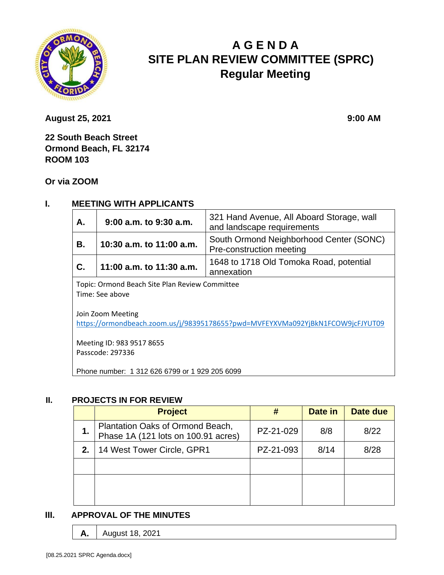

# **A G E N D A SITE PLAN REVIEW COMMITTEE (SPRC) Regular Meeting**

**August 25, 2021 9:00 AM** 

**22 South Beach Street Ormond Beach, FL 32174 ROOM 103**

**Or via ZOOM**

## **I. MEETING WITH APPLICANTS**

| Α.                                                                                                                                                                                                    | 321 Hand Avenue, All Aboard Storage, wall<br>$9:00$ a.m. to $9:30$ a.m.<br>and landscape requirements |                                                                     |  |  |  |
|-------------------------------------------------------------------------------------------------------------------------------------------------------------------------------------------------------|-------------------------------------------------------------------------------------------------------|---------------------------------------------------------------------|--|--|--|
| В.                                                                                                                                                                                                    | 10:30 a.m. to 11:00 a.m.                                                                              | South Ormond Neighborhood Center (SONC)<br>Pre-construction meeting |  |  |  |
| C.                                                                                                                                                                                                    | 11:00 a.m. to 11:30 a.m.                                                                              | 1648 to 1718 Old Tomoka Road, potential<br>annexation               |  |  |  |
| Topic: Ormond Beach Site Plan Review Committee<br>Time: See above<br>Join Zoom Meeting<br>https://ormondbeach.zoom.us/j/98395178655?pwd=MVFEYXVMa092YjBkN1FCOW9jcFJYUT09<br>Meeting ID: 983 9517 8655 |                                                                                                       |                                                                     |  |  |  |
| Passcode: 297336<br>Phone number: 1 312 626 6799 or 1 929 205 6099                                                                                                                                    |                                                                                                       |                                                                     |  |  |  |

#### **II. PROJECTS IN FOR REVIEW**

|    | <b>Project</b>                                                          |           | Date in | Date due |
|----|-------------------------------------------------------------------------|-----------|---------|----------|
| 1. | Plantation Oaks of Ormond Beach,<br>Phase 1A (121 lots on 100.91 acres) | PZ-21-029 | 8/8     | 8/22     |
| 2. | 14 West Tower Circle, GPR1                                              | PZ-21-093 | 8/14    | 8/28     |
|    |                                                                         |           |         |          |
|    |                                                                         |           |         |          |
|    |                                                                         |           |         |          |

#### **III. APPROVAL OF THE MINUTES**

**A.** August 18, 2021